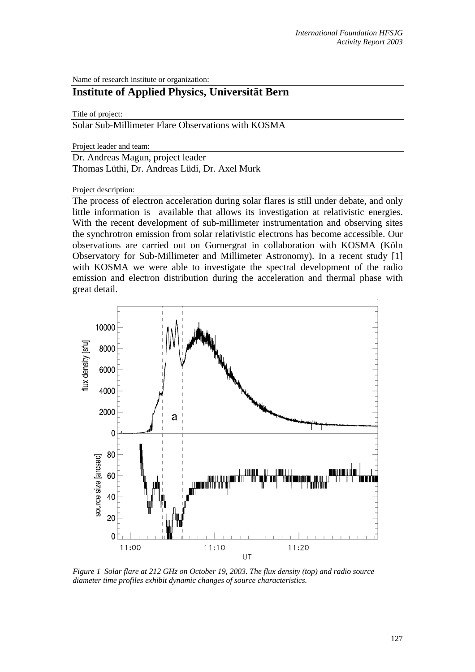Name of research institute or organization:

## **Institute of Applied Physics, Universität Bern**

Title of project:

Solar Sub-Millimeter Flare Observations with KOSMA

Project leader and team:

Dr. Andreas Magun, project leader Thomas Lüthi, Dr. Andreas Lüdi, Dr. Axel Murk

Project description:

The process of electron acceleration during solar flares is still under debate, and only little information is available that allows its investigation at relativistic energies. With the recent development of sub-millimeter instrumentation and observing sites the synchrotron emission from solar relativistic electrons has become accessible. Our observations are carried out on Gornergrat in collaboration with KOSMA (Köln Observatory for Sub-Millimeter and Millimeter Astronomy). In a recent study [1] with KOSMA we were able to investigate the spectral development of the radio emission and electron distribution during the acceleration and thermal phase with great detail.



*Figure 1 Solar flare at 212 GHz on October 19, 2003. The flux density (top) and radio source diameter time profiles exhibit dynamic changes of source characteristics.*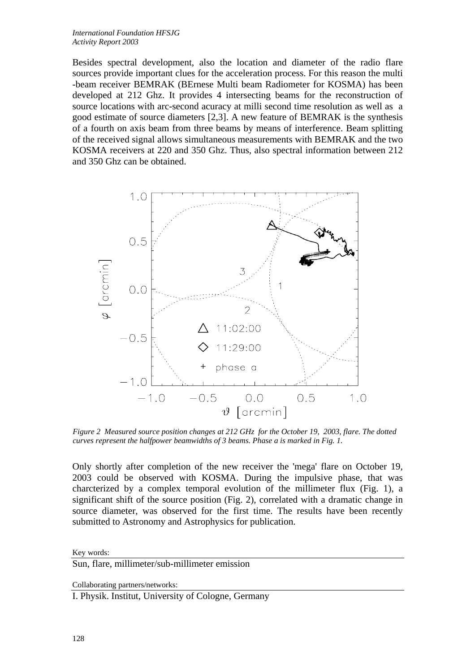Besides spectral development, also the location and diameter of the radio flare sources provide important clues for the acceleration process. For this reason the multi -beam receiver BEMRAK (BErnese Multi beam Radiometer for KOSMA) has been developed at 212 Ghz. It provides 4 intersecting beams for the reconstruction of source locations with arc-second acuracy at milli second time resolution as well as a good estimate of source diameters [2,3]. A new feature of BEMRAK is the synthesis of a fourth on axis beam from three beams by means of interference. Beam splitting of the received signal allows simultaneous measurements with BEMRAK and the two KOSMA receivers at 220 and 350 Ghz. Thus, also spectral information between 212 and 350 Ghz can be obtained.



*Figure 2 Measured source position changes at 212 GHz for the October 19, 2003, flare. The dotted curves represent the halfpower beamwidths of 3 beams. Phase a is marked in Fig. 1.* 

Only shortly after completion of the new receiver the 'mega' flare on October 19, 2003 could be observed with KOSMA. During the impulsive phase, that was charcterized by a complex temporal evolution of the millimeter flux (Fig. 1), a significant shift of the source position (Fig. 2), correlated with a dramatic change in source diameter, was observed for the first time. The results have been recently submitted to Astronomy and Astrophysics for publication.

Key words:

Sun, flare, millimeter/sub-millimeter emission

Collaborating partners/networks:

I. Physik. Institut, University of Cologne, Germany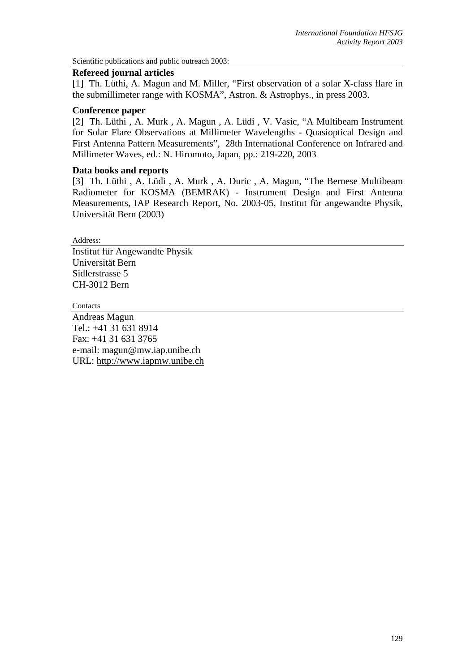Scientific publications and public outreach 2003:

## **Refereed journal articles**

[1] Th. Lüthi, A. Magun and M. Miller, "First observation of a solar X-class flare in the submillimeter range with KOSMA", Astron. & Astrophys., in press 2003.

## **Conference paper**

[2] Th. Lüthi , A. Murk , A. Magun , A. Lüdi , V. Vasic, "A Multibeam Instrument for Solar Flare Observations at Millimeter Wavelengths - Quasioptical Design and First Antenna Pattern Measurements", 28th International Conference on Infrared and Millimeter Waves, ed.: N. Hiromoto, Japan, pp.: 219-220, 2003

## **Data books and reports**

[3] Th. Lüthi , A. Lüdi , A. Murk , A. Duric , A. Magun, "The Bernese Multibeam Radiometer for KOSMA (BEMRAK) - Instrument Design and First Antenna Measurements, IAP Research Report, No. 2003-05, Institut für angewandte Physik, Universität Bern (2003)

Address:

Institut für Angewandte Physik Universität Bern Sidlerstrasse 5 CH-3012 Bern

**Contacts** 

Andreas Magun Tel.: +41 31 631 8914 Fax: +41 31 631 3765 e-mail: magun@mw.iap.unibe.ch URL: [http://www.iapmw.unibe.ch](http://www.iapmw.unibe.ch/)